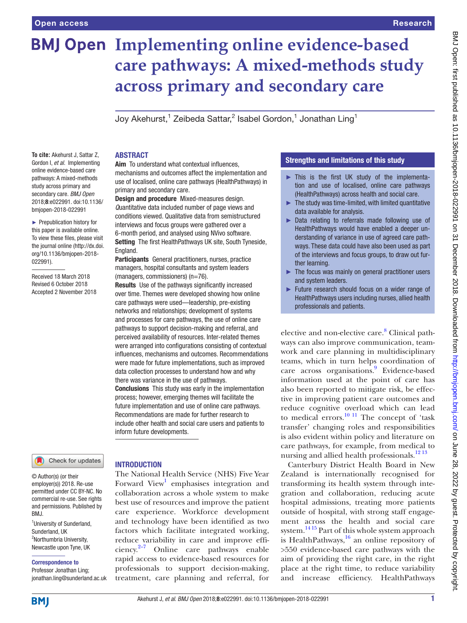# **BMJ Open Implementing online evidence-based care pathways: A mixed-methods study across primary and secondary care**

Joy Akehurst, $^1$  Zeibeda Sattar, $^2$  Isabel Gordon, $^1$  Jonathan Ling $^1$ 

#### **To cite:** Akehurst J, Sattar Z, Gordon I, *et al*. Implementing online evidence-based care pathways: A mixed-methods study across primary and secondary care. *BMJ Open* 2018;8:e022991. doi:10.1136/ bmjopen-2018-022991

► Prepublication history for this paper is available online. To view these files, please visit the journal online [\(http://dx.doi.](http://dx.doi.org/10.1136/bmjopen-2018-022991) [org/10.1136/bmjopen-2018-](http://dx.doi.org/10.1136/bmjopen-2018-022991) [022991\)](http://dx.doi.org/10.1136/bmjopen-2018-022991).

Received 18 March 2018 Revised 6 October 2018 Accepted 2 November 2018

# Check for updates

© Author(s) (or their employer(s)) 2018. Re-use permitted under CC BY-NC. No commercial re-use. See rights and permissions. Published by RM<sub>J</sub>

<sup>1</sup>University of Sunderland, Sunderland, UK 2 Northumbria University, Newcastle upon Tyne, UK

# Correspondence to

Professor Jonathan Ling; jonathan.ling@sunderland.ac.uk

# **ABSTRACT**

Aim To understand what contextual influences. mechanisms and outcomes affect the implementation and use of localised, online care pathways (HealthPathways) in primary and secondary care.

Design and procedure Mixed-measures design. *Q*uantitative data included number of page views and conditions viewed. Qualitative data from semistructured interviews and focus groups were gathered over a 6-month period, and analysed using NVivo software. Setting The first HealthPathways UK site, South Tyneside, England.

Participants General practitioners, nurses, practice managers, hospital consultants and system leaders (managers, commissioners) (n=76).

Results Use of the pathways significantly increased over time. Themes were developed showing how online care pathways were used—leadership, pre-existing networks and relationships; development of systems and processes for care pathways, the use of online care pathways to support decision-making and referral, and perceived availability of resources. Inter-related themes were arranged into configurations consisting of contextual influences, mechanisms and outcomes. Recommendations were made for future implementations, such as improved data collection processes to understand how and why there was variance in the use of pathways. Conclusions This study was early in the implementation process; however, emerging themes will facilitate the

future implementation and use of online care pathways. Recommendations are made for further research to include other health and social care users and patients to inform future developments.

# **INTRODUCTION**

The National Health Service (NHS) Five Year Forward View<sup>[1](#page-9-0)</sup> emphasises integration and collaboration across a whole system to make best use of resources and improve the patient care experience. Workforce development and technology have been identified as two factors which facilitate integrated working, reduce variability in care and improve efficiency. $2\frac{2}{7}$  Online care pathways enable rapid access to evidence-based resources for professionals to support decision-making, treatment, care planning and referral, for

# Strengths and limitations of this study

- ► This is the first UK study of the implementation and use of localised, online care pathways (HealthPathways) across health and social care.
- $\blacktriangleright$  The study was time-limited, with limited quantitative data available for analysis.
- Data relating to referrals made following use of HealthPathways would have enabled a deeper understanding of variance in use of agreed care pathways. These data could have also been used as part of the interviews and focus groups, to draw out further learning.
- $\blacktriangleright$  The focus was mainly on general practitioner users and system leaders.
- ► Future research should focus on a wider range of HealthPathways users including nurses, allied health professionals and patients.

elective and non-elective care.<sup>[8](#page-9-2)</sup> Clinical pathways can also improve communication, teamwork and care planning in multidisciplinary teams, which in turn helps coordination of care across organisations.<sup>[9](#page-9-3)</sup> Evidence-based information used at the point of care has also been reported to mitigate risk, be effective in improving patient care outcomes and reduce cognitive overload which can lead to medical errors.<sup>10 11</sup> The concept of 'task transfer' changing roles and responsibilities is also evident within policy and literature on care pathways, for example, from medical to nursing and allied health professionals.<sup>[12 13](#page-9-5)</sup>

Canterbury District Health Board in New Zealand is internationally recognised for transforming its health system through integration and collaboration, reducing acute hospital admissions, treating more patients outside of hospital, with strong staff engagement across the health and social care system[.14 15](#page-9-6) Part of this whole system approach is HealthPathways, $16$  an online repository of >550 evidence-based care pathways with the aim of providing the right care, in the right place at the right time, to reduce variability and increase efficiency. HealthPathways

**BMI**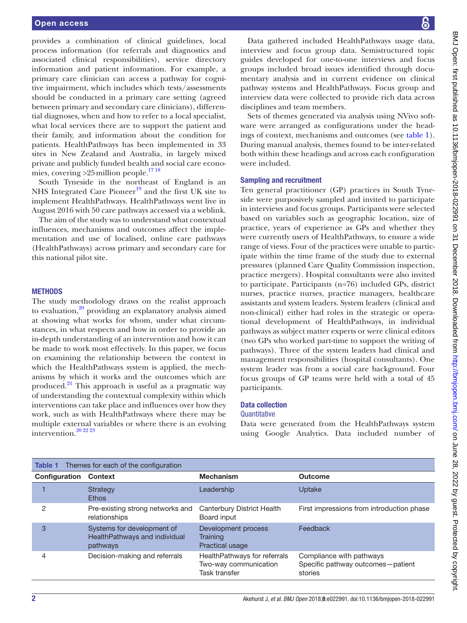#### Open access

provides a combination of clinical guidelines, local process information (for referrals and diagnostics and associated clinical responsibilities), service directory information and patient information. For example, a primary care clinician can access a pathway for cognitive impairment, which includes which tests/assessments should be conducted in a primary care setting (agreed between primary and secondary care clinicians), differential diagnoses, when and how to refer to a local specialist, what local services there are to support the patient and their family, and information about the condition for patients. HealthPathways has been implemented in 33 sites in New Zealand and Australia, in largely mixed private and publicly funded health and social care economies, covering  $>25$  million people.<sup>17 18</sup>

South Tyneside in the northeast of England is an NHS Integrated Care Pioneer $19$  and the first UK site to implement HealthPathways. HealthPathways went live in August 2016 with 50 care pathways accessed via a weblink.

The aim of the study was to understand what contextual influences, mechanisms and outcomes affect the implementation and use of localised, online care pathways (HealthPathways) across primary and secondary care for this national pilot site.

#### **METHODS**

The study methodology draws on the realist approach to evaluation,<sup>[20](#page-10-0)</sup> providing an explanatory analysis aimed at showing what works for whom, under what circumstances, in what respects and how in order to provide an in-depth understanding of an intervention and how it can be made to work most effectively. In this paper, we focus on examining the relationship between the context in which the HealthPathways system is applied, the mechanisms by which it works and the outcomes which are produced. $^{21}$  This approach is useful as a pragmatic way of understanding the contextual complexity within which interventions can take place and influences over how they work, such as with HealthPathways where there may be multiple external variables or where there is an evolving intervention.<sup>20</sup> <sup>22</sup> <sup>23</sup>

Data gathered included HealthPathways usage data, interview and focus group data. Semistructured topic guides developed for one-to-one interviews and focus groups included broad issues identified through documentary analysis and in current evidence on clinical pathway systems and HealthPathways. Focus group and interview data were collected to provide rich data across disciplines and team members.

Sets of themes generated via analysis using NVivo software were arranged as configurations under the headings of context, mechanisms and outcomes (see [table](#page-1-0) 1). During manual analysis, themes found to be inter-related both within these headings and across each configuration were included.

#### Sampling and recruitment

Ten general practitioner (GP) practices in South Tyneside were purposively sampled and invited to participate in interviews and focus groups. Participants were selected based on variables such as geographic location, size of practice, years of experience as GPs and whether they were currently users of HealthPathways, to ensure a wide range of views. Four of the practices were unable to participate within the time frame of the study due to external pressures (planned Care Quality Commission inspection, practice mergers). Hospital consultants were also invited to participate. Participants (n=76) included GPs, district nurses, practice nurses, practice managers, healthcare assistants and system leaders. System leaders (clinical and non-clinical) either had roles in the strategic or operational development of HealthPathways, in individual pathways as subject matter experts or were clinical editors (two GPs who worked part-time to support the writing of pathways). Three of the system leaders had clinical and management responsibilities (hospital consultants). One system leader was from a social care background. Four focus groups of GP teams were held with a total of 45 participants.

# Data collection

# **Quantitative**

Data were generated from the HealthPathways system using Google Analytics. Data included number of

<span id="page-1-0"></span>

| Themes for each of the configuration<br>Table 1 |                                                                         |                                                                               |                                                                          |  |  |
|-------------------------------------------------|-------------------------------------------------------------------------|-------------------------------------------------------------------------------|--------------------------------------------------------------------------|--|--|
| <b>Configuration Context</b>                    |                                                                         | <b>Mechanism</b>                                                              | <b>Outcome</b>                                                           |  |  |
|                                                 | Strategy<br><b>Ethos</b>                                                | Leadership                                                                    | Uptake                                                                   |  |  |
| 2                                               | Pre-existing strong networks and<br>relationships                       | Canterbury District Health<br>Board input                                     | First impressions from introduction phase                                |  |  |
| 3                                               | Systems for development of<br>HealthPathways and individual<br>pathways | Development process<br><b>Training</b><br><b>Practical usage</b>              | Feedback                                                                 |  |  |
|                                                 | Decision-making and referrals                                           | HealthPathways for referrals<br>Two-way communication<br><b>Task transfer</b> | Compliance with pathways<br>Specific pathway outcomes-patient<br>stories |  |  |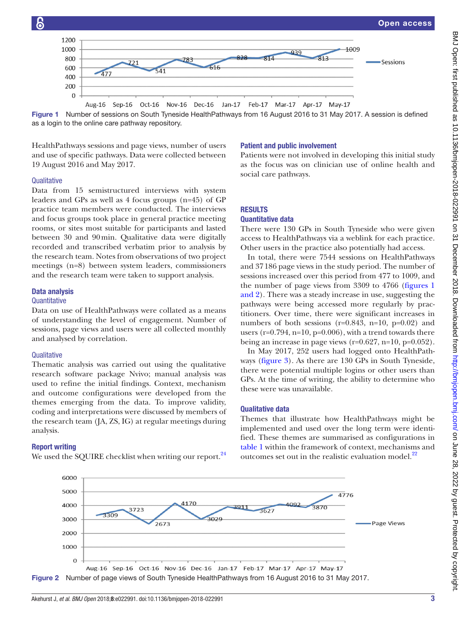<span id="page-2-0"></span>Figure 1 Number of sessions on South Tyneside HealthPathways from 16 August 2016 to 31 May 2017. A session is defined as a login to the online care pathway repository.

HealthPathways sessions and page views, number of users and use of specific pathways. Data were collected between 19 August 2016 and May 2017.

# Patient and public involvement

Patients were not involved in developing this initial study as the focus was on clinician use of online health and social care pathways.

#### **Qualitative**

Data from 15 semistructured interviews with system leaders and GPs as well as 4 focus groups (n=45) of GP practice team members were conducted. The interviews and focus groups took place in general practice meeting rooms, or sites most suitable for participants and lasted between 30 and 90min. Qualitative data were digitally recorded and transcribed verbatim prior to analysis by the research team. Notes from observations of two project meetings (n=8) between system leaders, commissioners and the research team were taken to support analysis.

### Data analysis

#### **Quantitative**

Data on use of HealthPathways were collated as a means of understanding the level of engagement. Number of sessions, page views and users were all collected monthly and analysed by correlation.

#### **Qualitative**

Thematic analysis was carried out using the qualitative research software package Nvivo; manual analysis was used to refine the initial findings. Context, mechanism and outcome configurations were developed from the themes emerging from the data. To improve validity, coding and interpretations were discussed by members of the research team (JA, ZS, IG) at regular meetings during analysis.

#### Report writing

We used the SQUIRE checklist when writing our report.<sup>[24](#page-10-2)</sup>

#### **RESULTS** Quantitative data

There were 130 GPs in South Tyneside who were given access to HealthPathways via a weblink for each practice. Other users in the practice also potentially had access.

In total, there were 7544 sessions on HealthPathways and 37186 page views in the study period. The number of sessions increased over this period from 477 to 1009, and the number of page views from 3309 to 4766 [\(figures](#page-2-0) 1 [and 2](#page-2-0)). There was a steady increase in use, suggesting the pathways were being accessed more regularly by practitioners. Over time, there were significant increases in numbers of both sessions  $(r=0.843, n=10, p=0.02)$  and users ( $r=0.794$ ,  $n=10$ ,  $p=0.006$ ), with a trend towards there being an increase in page views  $(r=0.627, n=10, p=0.052)$ .

In May 2017, 252 users had logged onto HealthPathways [\(figure](#page-3-0) 3). As there are 130 GPs in South Tyneside, there were potential multiple logins or other users than GPs. At the time of writing, the ability to determine who these were was unavailable.

#### Qualitative data

Themes that illustrate how HealthPathways might be implemented and used over the long term were identified. These themes are summarised as configurations in [table](#page-1-0) 1 within the framework of context, mechanisms and outcomes set out in the realistic evaluation model.<sup>22</sup>



Figure 2 Number of page views of South Tyneside HealthPathways from 16 August 2016 to 31 May 2017.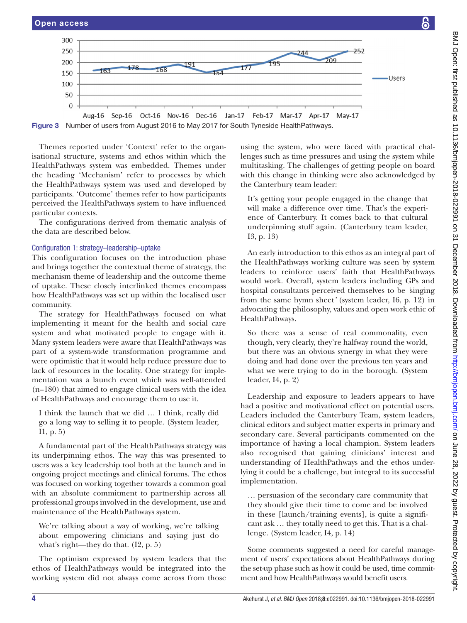



So there was a sense of real commonality, even though, very clearly, they're halfway round the world, but there was an obvious synergy in what they were doing and had done over the previous ten years and what we were trying to do in the borough. (System leader, I4, p. 2)

Leadership and exposure to leaders appears to have had a positive and motivational effect on potential users. Leaders included the Canterbury Team, system leaders, clinical editors and subject matter experts in primary and secondary care. Several participants commented on the importance of having a local champion. System leaders also recognised that gaining clinicians' interest and understanding of HealthPathways and the ethos underlying it could be a challenge, but integral to its successful implementation.

… persuasion of the secondary care community that they should give their time to come and be involved in these [launch/training events], is quite a significant ask … they totally need to get this. That is a challenge. (System leader, I4, p. 14)

Some comments suggested a need for careful management of users' expectations about HealthPathways during the set-up phase such as how it could be used, time commitment and how HealthPathways would benefit users.



<span id="page-3-0"></span>Figure 3 Number of users from August 2016 to May 2017 for South Tyneside HealthPathways.

Themes reported under 'Context' refer to the organisational structure, systems and ethos within which the HealthPathways system was embedded. Themes under the heading 'Mechanism' refer to processes by which the HealthPathways system was used and developed by participants. 'Outcome' themes refer to how participants perceived the HealthPathways system to have influenced particular contexts.

The configurations derived from thematic analysis of the data are described below.

# Configuration 1: strategy–leadership–uptake

Open access

This configuration focuses on the introduction phase and brings together the contextual theme of strategy, the mechanism theme of leadership and the outcome theme of uptake. These closely interlinked themes encompass how HealthPathways was set up within the localised user community.

The strategy for HealthPathways focused on what implementing it meant for the health and social care system and what motivated people to engage with it. Many system leaders were aware that HealthPathways was part of a system-wide transformation programme and were optimistic that it would help reduce pressure due to lack of resources in the locality. One strategy for implementation was a launch event which was well-attended (n=180) that aimed to engage clinical users with the idea of HealthPathways and encourage them to use it.

I think the launch that we did … I think, really did go a long way to selling it to people. (System leader, I1, p. 5)

A fundamental part of the HealthPathways strategy was its underpinning ethos. The way this was presented to users was a key leadership tool both at the launch and in ongoing project meetings and clinical forums. The ethos was focused on working together towards a common goal with an absolute commitment to partnership across all professional groups involved in the development, use and maintenance of the HealthPathways system.

We're talking about a way of working, we're talking about empowering clinicians and saying just do what's right—they do that. (I2, p. 5)

The optimism expressed by system leaders that the ethos of HealthPathways would be integrated into the working system did not always come across from those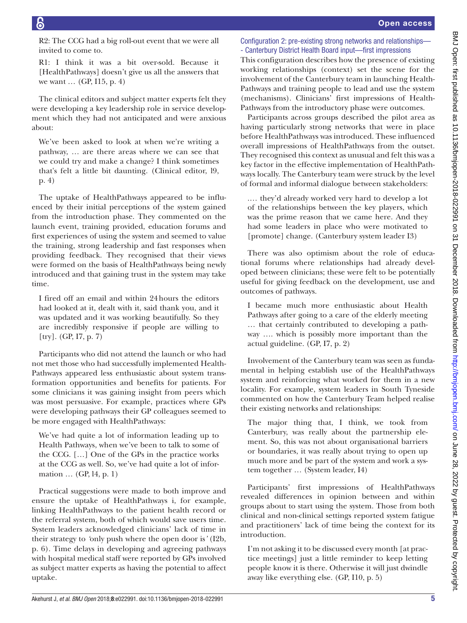R2: The CCG had a big roll-out event that we were all invited to come to.

R1: I think it was a bit over-sold. Because it [HealthPathways] doesn't give us all the answers that we want … (GP, I15, p. 4)

The clinical editors and subject matter experts felt they were developing a key leadership role in service development which they had not anticipated and were anxious about:

We've been asked to look at when we're writing a pathway, … are there areas where we can see that we could try and make a change? I think sometimes that's felt a little bit daunting. (Clinical editor, l9, p. 4)

The uptake of HealthPathways appeared to be influenced by their initial perceptions of the system gained from the introduction phase. They commented on the launch event, training provided, education forums and first experiences of using the system and seemed to value the training, strong leadership and fast responses when providing feedback. They recognised that their views were formed on the basis of HealthPathways being newly introduced and that gaining trust in the system may take time.

I fired off an email and within 24hours the editors had looked at it, dealt with it, said thank you, and it was updated and it was working beautifully. So they are incredibly responsive if people are willing to [try]. (GP, I7, p. 7)

Participants who did not attend the launch or who had not met those who had successfully implemented Health-Pathways appeared less enthusiastic about system transformation opportunities and benefits for patients. For some clinicians it was gaining insight from peers which was most persuasive. For example, practices where GPs were developing pathways their GP colleagues seemed to be more engaged with HealthPathways:

We've had quite a lot of information leading up to Health Pathways, when we've been to talk to some of the CCG. […] One of the GPs in the practice works at the CCG as well. So, we've had quite a lot of information … (GP, l4, p. 1)

Practical suggestions were made to both improve and ensure the uptake of HealthPathways i, for example, linking HealthPathways to the patient health record or the referral system, both of which would save users time. System leaders acknowledged clinicians' lack of time in their strategy to *'*only push where the open door is*'* (I2b, p. 6). Time delays in developing and agreeing pathways with hospital medical staff were reported by GPs involved as subject matter experts as having the potential to affect uptake.

Configuration 2: pre-existing strong networks and relationships— - Canterbury District Health Board input—first impressions

This configuration describes how the presence of existing working relationships (context) set the scene for the involvement of the Canterbury team in launching Health-Pathways and training people to lead and use the system (mechanisms). Clinicians' first impressions of Health-Pathways from the introductory phase were outcomes.

Participants across groups described the pilot area as having particularly strong networks that were in place before HealthPathways was introduced. These influenced overall impressions of HealthPathways from the outset. They recognised this context as unusual and felt this was a key factor in the effective implementation of HealthPathways locally. The Canterbury team were struck by the level of formal and informal dialogue between stakeholders:

.… they'd already worked very hard to develop a lot of the relationships between the key players, which was the prime reason that we came here. And they had some leaders in place who were motivated to [promote] change. (Canterbury system leader I3)

There was also optimism about the role of educational forums where relationships had already developed between clinicians; these were felt to be potentially useful for giving feedback on the development, use and outcomes of pathways.

I became much more enthusiastic about Health Pathways after going to a care of the elderly meeting … that certainly contributed to developing a pathway …. which is possibly more important than the actual guideline. (GP, I7, p. 2)

Involvement of the Canterbury team was seen as fundamental in helping establish use of the HealthPathways system and reinforcing what worked for them in a new locality. For example, system leaders in South Tyneside commented on how the Canterbury Team helped realise their existing networks and relationships:

The major thing that, I think, we took from Canterbury, was really about the partnership element. So, this was not about organisational barriers or boundaries, it was really about trying to open up much more and be part of the system and work a system together … (System leader, I4)

Participants' first impressions of HealthPathways revealed differences in opinion between and within groups about to start using the system. Those from both clinical and non-clinical settings reported system fatigue and practitioners' lack of time being the context for its introduction.

I'm not asking it to be discussed every month [at practice meetings] just a little reminder to keep letting people know it is there. Otherwise it will just dwindle away like everything else. (GP, I10, p. 5)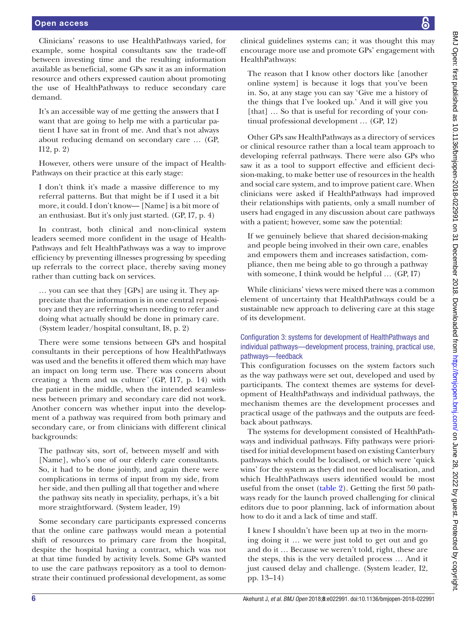### Open access

Clinicians' reasons to use HealthPathways varied, for example, some hospital consultants saw the trade-off between investing time and the resulting information available as beneficial, some GPs saw it as an information resource and others expressed caution about promoting the use of HealthPathways to reduce secondary care demand.

It's an accessible way of me getting the answers that I want that are going to help me with a particular patient I have sat in front of me. And that's not always about reducing demand on secondary care … (GP, I12, p. 2)

However, others were unsure of the impact of Health-Pathways on their practice at this early stage:

I don't think it's made a massive difference to my referral patterns. But that might be if I used it a bit more, it could. I don't know— [Name] is a bit more of an enthusiast. But it's only just started. (GP, I7, p. 4)

In contrast, both clinical and non-clinical system leaders seemed more confident in the usage of Health-Pathways and felt HealthPathways was a way to improve efficiency by preventing illnesses progressing by speeding up referrals to the correct place, thereby saving money rather than cutting back on services.

… you can see that they [GPs] are using it. They appreciate that the information is in one central repository and they are referring when needing to refer and doing what actually should be done in primary care. (System leader/hospital consultant, I8, p. 2)

There were some tensions between GPs and hospital consultants in their perceptions of how HealthPathways was used and the benefits it offered them which may have an impact on long term use. There was concern about creating a *'*them and us culture*'* (GP, I17, p. 14) with the patient in the middle, when the intended seamlessness between primary and secondary care did not work. Another concern was whether input into the development of a pathway was required from both primary and secondary care, or from clinicians with different clinical backgrounds:

The pathway sits, sort of, between myself and with [Name], who's one of our elderly care consultants. So, it had to be done jointly, and again there were complications in terms of input from my side, from her side, and then pulling all that together and where the pathway sits neatly in speciality, perhaps, it's a bit more straightforward. (System leader, 19)

Some secondary care participants expressed concerns that the online care pathways would mean a potential shift of resources to primary care from the hospital, despite the hospital having a contract, which was not at that time funded by activity levels. Some GPs wanted to use the care pathways repository as a tool to demonstrate their continued professional development, as some clinical guidelines systems can; it was thought this may encourage more use and promote GPs' engagement with HealthPathways:

The reason that I know other doctors like [another online system] is because it logs that you've been in. So, at any stage you can say 'Give me a history of the things that I've looked up.' And it will give you [that] ... So that is useful for recording of your continual professional development … (GP, 12)

Other GPs saw HealthPathways as a directory of services or clinical resource rather than a local team approach to developing referral pathways. There were also GPs who saw it as a tool to support effective and efficient decision-making, to make better use of resources in the health and social care system, and to improve patient care. When clinicians were asked if HealthPathways had improved their relationships with patients, only a small number of users had engaged in any discussion about care pathways with a patient; however, some saw the potential:

If we genuinely believe that shared decision-making and people being involved in their own care, enables and empowers them and increases satisfaction, compliance, then me being able to go through a pathway with someone, I think would be helpful ... (GP, I7)

While clinicians' views were mixed there was a common element of uncertainty that HealthPathways could be a sustainable new approach to delivering care at this stage of its development.

# Configuration 3: systems for development of HealthPathways and individual pathways—development process, training, practical use, pathways—feedback

This configuration focusses on the system factors such as the way pathways were set out, developed and used by participants. The context themes are systems for development of HealthPathways and individual pathways, the mechanism themes are the development processes and practical usage of the pathways and the outputs are feedback about pathways.

The systems for development consisted of HealthPathways and individual pathways. Fifty pathways were prioritised for initial development based on existing Canterbury pathways which could be localised, or which were 'quick wins' for the system as they did not need localisation, and which HealthPathways users identified would be most useful from the onset ([table](#page-6-0) 2). Getting the first 50 pathways ready for the launch proved challenging for clinical editors due to poor planning, lack of information about how to do it and a lack of time and staff.

I knew I shouldn't have been up at two in the morning doing it … we were just told to get out and go and do it … Because we weren't told, right, these are the steps, this is the very detailed process … And it just caused delay and challenge. (System leader, I2, pp. 13–14)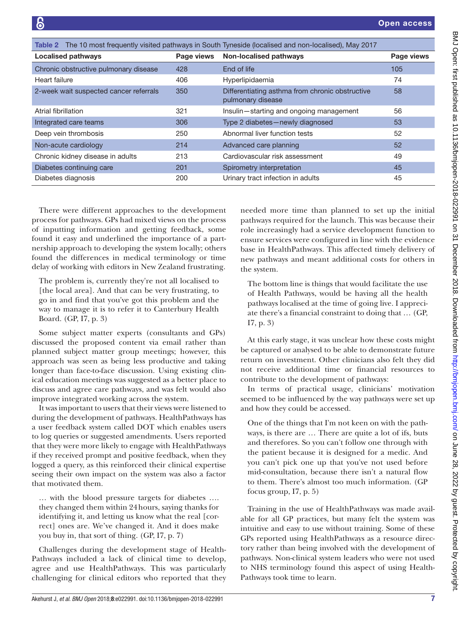<span id="page-6-0"></span>

|                                        |            | Table 2 The 10 most frequently visited pathways in South Tyneside (localised and non-localised), May 2017 |            |
|----------------------------------------|------------|-----------------------------------------------------------------------------------------------------------|------------|
| <b>Localised pathways</b>              | Page views | Non-localised pathways                                                                                    | Page views |
| Chronic obstructive pulmonary disease  | 428        | End of life                                                                                               | 105        |
| Heart failure                          | 406        | Hyperlipidaemia                                                                                           | 74         |
| 2-week wait suspected cancer referrals | 350        | Differentiating asthma from chronic obstructive<br>pulmonary disease                                      | 58         |
| Atrial fibrillation                    | 321        | Insulin-starting and ongoing management                                                                   | 56         |
| Integrated care teams                  | 306        | Type 2 diabetes - newly diagnosed                                                                         | 53         |
| Deep vein thrombosis                   | 250        | Abnormal liver function tests                                                                             | 52         |
| Non-acute cardiology                   | 214        | Advanced care planning                                                                                    | 52         |
| Chronic kidney disease in adults       | 213        | Cardiovascular risk assessment                                                                            | 49         |
| Diabetes continuing care               | 201        | Spirometry interpretation                                                                                 | 45         |
| Diabetes diagnosis                     | 200        | Urinary tract infection in adults                                                                         | 45         |

There were different approaches to the development process for pathways. GPs had mixed views on the process of inputting information and getting feedback, some found it easy and underlined the importance of a partnership approach to developing the system locally; others found the differences in medical terminology or time delay of working with editors in New Zealand frustrating.

The problem is, currently they're not all localised to [the local area]. And that can be very frustrating, to go in and find that you've got this problem and the way to manage it is to refer it to Canterbury Health Board. (GP, I7, p. 3)

Some subject matter experts (consultants and GPs) discussed the proposed content via email rather than planned subject matter group meetings; however, this approach was seen as being less productive and taking longer than face-to-face discussion. Using existing clinical education meetings was suggested as a better place to discuss and agree care pathways, and was felt would also improve integrated working across the system.

It was important to users that their views were listened to during the development of pathways. HealthPathways has a user feedback system called DOT which enables users to log queries or suggested amendments. Users reported that they were more likely to engage with HealthPathways if they received prompt and positive feedback, when they logged a query, as this reinforced their clinical expertise seeing their own impact on the system was also a factor that motivated them.

… with the blood pressure targets for diabetes …. they changed them within 24hours, saying thanks for identifying it, and letting us know what the real [correct] ones are. We've changed it. And it does make you buy in, that sort of thing. (GP, I7, p. 7)

Challenges during the development stage of Health-Pathways included a lack of clinical time to develop, agree and use HealthPathways. This was particularly challenging for clinical editors who reported that they

needed more time than planned to set up the initial pathways required for the launch. This was because their role increasingly had a service development function to ensure services were configured in line with the evidence base in HealthPathways. This affected timely delivery of new pathways and meant additional costs for others in the system.

The bottom line is things that would facilitate the use of Health Pathways, would be having all the health pathways localised at the time of going live. I appreciate there's a financial constraint to doing that … (GP, I7, p. 3)

At this early stage, it was unclear how these costs might be captured or analysed to be able to demonstrate future return on investment. Other clinicians also felt they did not receive additional time or financial resources to contribute to the development of pathways:

In terms of practical usage, clinicians' motivation seemed to be influenced by the way pathways were set up and how they could be accessed.

One of the things that I'm not keen on with the pathways, is there are … There are quite a lot of ifs, buts and therefores. So you can't follow one through with the patient because it is designed for a medic. And you can't pick one up that you've not used before mid-consultation, because there isn't a natural flow to them. There's almost too much information. (GP focus group, I7, p. 5)

Training in the use of HealthPathways was made available for all GP practices, but many felt the system was intuitive and easy to use without training. Some of these GPs reported using HealthPathways as a resource directory rather than being involved with the development of pathways. Non-clinical system leaders who were not used to NHS terminology found this aspect of using Health-Pathways took time to learn.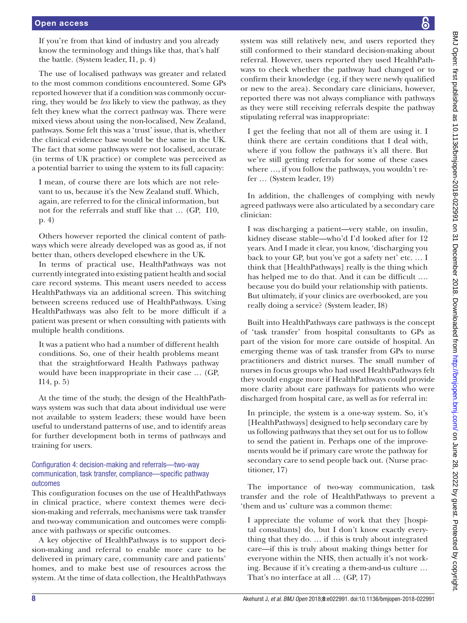If you're from that kind of industry and you already know the terminology and things like that, that's half the battle. (System leader, I1, p. 4)

The use of localised pathways was greater and related to the most common conditions encountered. Some GPs reported however that if a condition was commonly occurring, they would be *less* likely to view the pathway, as they felt they knew what the correct pathway was. There were mixed views about using the non-localised, New Zealand, pathways. Some felt this was a 'trust' issue, that is, whether the clinical evidence base would be the same in the UK. The fact that some pathways were not localised, accurate (in terms of UK practice) or complete was perceived as a potential barrier to using the system to its full capacity:

I mean, of course there are lots which are not relevant to us, because it's the New Zealand stuff. Which, again, are referred to for the clinical information, but not for the referrals and stuff like that … (GP, I10, p. 4)

Others however reported the clinical content of pathways which were already developed was as good as, if not better than, others developed elsewhere in the UK.

In terms of practical use, HealthPathways was not currently integrated into existing patient health and social care record systems. This meant users needed to access HealthPathways via an additional screen. This switching between screens reduced use of HealthPathways. Using HealthPathways was also felt to be more difficult if a patient was present or when consulting with patients with multiple health conditions.

It was a patient who had a number of different health conditions. So, one of their health problems meant that the straightforward Health Pathways pathway would have been inappropriate in their case … (GP, I14, p. 5)

At the time of the study, the design of the HealthPathways system was such that data about individual use were not available to system leaders; these would have been useful to understand patterns of use, and to identify areas for further development both in terms of pathways and training for users.

# Configuration 4: decision-making and referrals—two-way communication, task transfer, compliance—specific pathway outcomes

This configuration focuses on the use of HealthPathways in clinical practice, where context themes were decision-making and referrals, mechanisms were task transfer and two-way communication and outcomes were compliance with pathways or specific outcomes.

A key objective of HealthPathways is to support decision-making and referral to enable more care to be delivered in primary care, community care and patients' homes, and to make best use of resources across the system. At the time of data collection, the HealthPathways

I get the feeling that not all of them are using it. I think there are certain conditions that I deal with, where if you follow the pathways it's all there. But we're still getting referrals for some of these cases where …, if you follow the pathways, you wouldn't refer … (System leader, 19)

In addition, the challenges of complying with newly agreed pathways were also articulated by a secondary care clinician:

I was discharging a patient—very stable, on insulin, kidney disease stable—who'd I'd looked after for 12 years. And I made it clear, you know, 'discharging you back to your GP, but you've got a safety net' etc. … I think that [HealthPathways] really is the thing which has helped me to do that. And it can be difficult …. because you do build your relationship with patients. But ultimately, if your clinics are overbooked, are you really doing a service? (System leader, I8)

Built into HealthPathways care pathways is the concept of 'task transfer' from hospital consultants to GPs as part of the vision for more care outside of hospital. An emerging theme was of task transfer from GPs to nurse practitioners and district nurses. The small number of nurses in focus groups who had used HealthPathways felt they would engage more if HealthPathways could provide more clarity about care pathways for patients who were discharged from hospital care, as well as for referral in:

In principle, the system is a one-way system. So, it's [HealthPathways] designed to help secondary care by us following pathways that they set out for us to follow to send the patient in. Perhaps one of the improvements would be if primary care wrote the pathway for secondary care to send people back out. (Nurse practitioner, 17)

The importance of two-way communication, task transfer and the role of HealthPathways to prevent a 'them and us' culture was a common theme:

I appreciate the volume of work that they [hospital consultants] do, but I don't know exactly everything that they do. … if this is truly about integrated care—if this is truly about making things better for everyone within the NHS, then actually it's not working. Because if it's creating a them-and-us culture … That's no interface at all … (GP, 17)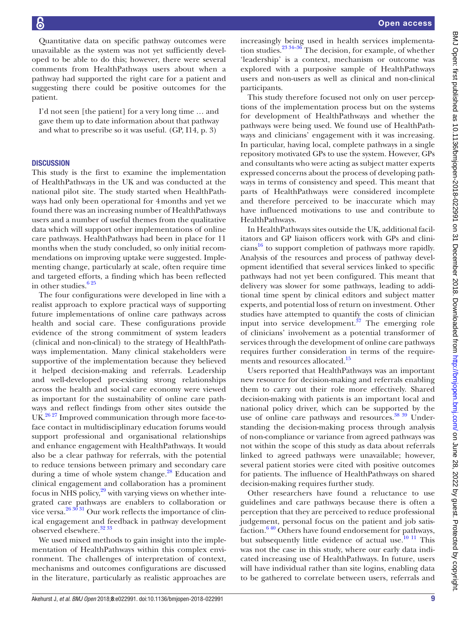Quantitative data on specific pathway outcomes were unavailable as the system was not yet sufficiently developed to be able to do this; however, there were several comments from HealthPathways users about when a pathway had supported the right care for a patient and suggesting there could be positive outcomes for the patient.

I'd not seen [the patient] for a very long time … and gave them up to date information about that pathway and what to prescribe so it was useful. (GP, I14, p. 3)

#### **DISCUSSION**

This study is the first to examine the implementation of HealthPathways in the UK and was conducted at the national pilot site. The study started when HealthPathways had only been operational for 4months and yet we found there was an increasing number of HealthPathways users and a number of useful themes from the qualitative data which will support other implementations of online care pathways. HealthPathways had been in place for 11 months when the study concluded, so only initial recommendations on improving uptake were suggested. Implementing change, particularly at scale, often require time and targeted efforts, a finding which has been reflected in other studies.<sup>625</sup>

The four configurations were developed in line with a realist approach to explore practical ways of supporting future implementations of online care pathways across health and social care. These configurations provide evidence of the strong commitment of system leaders (clinical and non-clinical) to the strategy of HealthPathways implementation. Many clinical stakeholders were supportive of the implementation because they believed it helped decision-making and referrals. Leadership and well-developed pre-existing strong relationships across the health and social care economy were viewed as important for the sustainability of online care pathways and reflect findings from other sites outside the UK. $26\frac{27}{27}$  Improved communication through more face-toface contact in multidisciplinary education forums would support professional and organisational relationships and enhance engagement with HealthPathways. It would also be a clear pathway for referrals, with the potential to reduce tensions between primary and secondary care during a time of whole system change. $^{28}$  Education and clinical engagement and collaboration has a prominent focus in NHS policy,<sup>[29](#page-10-6)</sup> with varying views on whether integrated care pathways are enablers to collaboration or vice versa. $^{26\,30\,31}$  Our work reflects the importance of clinical engagement and feedback in pathway development observed elsewhere.<sup>32</sup><sup>33</sup>

We used mixed methods to gain insight into the implementation of HealthPathways within this complex environment. The challenges of interpretation of context, mechanisms and outcomes configurations are discussed in the literature, particularly as realistic approaches are

increasingly being used in health services implementa-tion studies.<sup>[23 34–36](#page-10-8)</sup> The decision, for example, of whether 'leadership' is a context, mechanism or outcome was explored with a purposive sample of HealthPathways users and non-users as well as clinical and non-clinical participants.

This study therefore focused not only on user perceptions of the implementation process but on the systems for development of HealthPathways and whether the pathways were being used. We found use of HealthPathways and clinicians' engagement with it was increasing. In particular, having local, complete pathways in a single repository motivated GPs to use the system. However, GPs and consultants who were acting as subject matter experts expressed concerns about the process of developing pathways in terms of consistency and speed. This meant that parts of HealthPathways were considered incomplete and therefore perceived to be inaccurate which may have influenced motivations to use and contribute to HealthPathways.

In HealthPathways sites outside the UK, additional facilitators and GP liaison officers work with GPs and clini $cians^{16}$  to support completion of pathways more rapidly. Analysis of the resources and process of pathway development identified that several services linked to specific pathways had not yet been configured. This meant that delivery was slower for some pathways, leading to additional time spent by clinical editors and subject matter experts, and potential loss of return on investment. Other studies have attempted to quantify the costs of clinician input into service development. $\frac{37}{7}$  The emerging role of clinicians' involvement as a potential transformer of services through the development of online care pathways requires further consideration in terms of the requirements and resources allocated.[15](#page-9-11)

Users reported that HealthPathways was an important new resource for decision-making and referrals enabling them to carry out their role more effectively. Shared decision-making with patients is an important local and national policy driver, which can be supported by the use of online care pathways and resources.<sup>38</sup> 39 Understanding the decision-making process through analysis of non-compliance or variance from agreed pathways was not within the scope of this study as data about referrals linked to agreed pathways were unavailable; however, several patient stories were cited with positive outcomes for patients. The influence of HealthPathways on shared decision-making requires further study.

Other researchers have found a reluctance to use guidelines and care pathways because there is often a perception that they are perceived to reduce professional judgement, personal focus on the patient and job satisfaction. $6\frac{40}{10}$  Others have found endorsement for pathways, but subsequently little evidence of actual use.<sup>[10 11](#page-9-4)</sup> This was not the case in this study, where our early data indicated increasing use of HealthPathways. In future, users will have individual rather than site logins, enabling data to be gathered to correlate between users, referrals and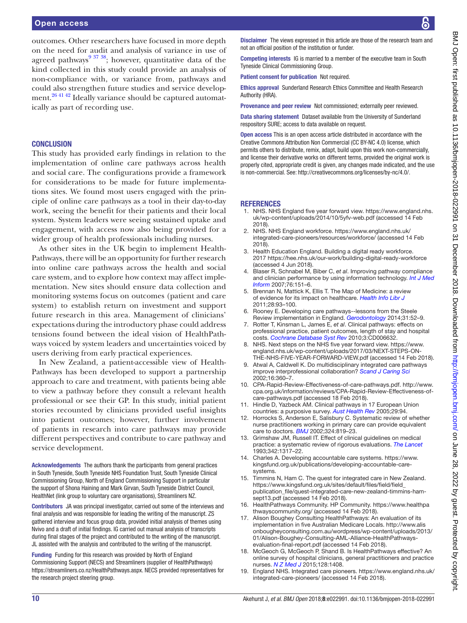outcomes. Other researchers have focused in more depth on the need for audit and analysis of variance in use of agreed pathways<sup>[9 37 38](#page-9-3)</sup>; however, quantitative data of the kind collected in this study could provide an analysis of non-compliance with, or variance from, pathways and could also strengthen future studies and service develop-ment.<sup>[26 41 42](#page-10-4)</sup> Ideally variance should be captured automatically as part of recording use.

# **CONCLUSION**

This study has provided early findings in relation to the implementation of online care pathways across health and social care. The configurations provide a framework for considerations to be made for future implementations sites. We found most users engaged with the principle of online care pathways as a tool in their day-to-day work, seeing the benefit for their patients and their local system. System leaders were seeing sustained uptake and engagement, with access now also being provided for a wider group of health professionals including nurses.

As other sites in the UK begin to implement Health-Pathways, there will be an opportunity for further research into online care pathways across the health and social care system, and to explore how context may affect implementation. New sites should ensure data collection and monitoring systems focus on outcomes (patient and care system) to establish return on investment and support future research in this area. Management of clinicians' expectations during the introductory phase could address tensions found between the ideal vision of HealthPathways voiced by system leaders and uncertainties voiced by users deriving from early practical experiences.

In New Zealand, a patient-accessible view of Health-Pathways has been developed to support a partnership approach to care and treatment, with patients being able to view a pathway before they consult a relevant health professional or see their GP. In this study, initial patient stories recounted by clinicians provided useful insights into patient outcomes; however, further involvement of patients in research into care pathways may provide different perspectives and contribute to care pathway and service development.

Acknowledgements The authors thank the participants from general practices in South Tyneside, South Tyneside NHS Foundation Trust, South Tyneside Clinical Commissioning Group, North of England Commissioning Support in particular the support of Shona Haining and Mark Girvan, South Tyneside District Council, HealthNet (link group to voluntary care organisations), Streamliners NZ.

Contributors JA was principal investigator, carried out some of the interviews and final analysis and was responsible for leading the writing of the manuscript. ZS gathered interview and focus group data, provided initial analysis of themes using Nvivo and a draft of initial findings. IG carried out manual analysis of transcripts during final stages of the project and contributed to the writing of the manuscript. JL assisted with the analysis and contributed to the writing of the manuscript.

Funding Funding for this research was provided by North of England Commissioning Support (NECS) and Streamliners (supplier of HealthPathways) <https://streamliners.co.nz/HealthPathways.aspx>. NECS provided representatives for the research project steering group.

Disclaimer The views expressed in this article are those of the research team and not an official position of the institution or funder.

Competing interests IG is married to a member of the executive team in South Tyneside Clinical Commissioning Group.

Patient consent for publication Not required.

Ethics approval Sunderland Research Ethics Committee and Health Research Authority (HRA).

Provenance and peer review Not commissioned; externally peer reviewed.

Data sharing statement Dataset available from the University of Sunderland respository SURE; access to data available on request.

Open access This is an open access article distributed in accordance with the Creative Commons Attribution Non Commercial (CC BY-NC 4.0) license, which permits others to distribute, remix, adapt, build upon this work non-commercially, and license their derivative works on different terms, provided the original work is properly cited, appropriate credit is given, any changes made indicated, and the use is non-commercial. See: [http://creativecommons.org/licenses/by-nc/4.0/.](http://creativecommons.org/licenses/by-nc/4.0/)

# **REFERENCES**

- <span id="page-9-0"></span>1. NHS. NHS England five year forward view. [https://www.england.nhs.](https://www.england.nhs.uk/wp-content/uploads/2014/10/5yfv-web.pdf) [uk/wp-content/uploads/2014/10/5yfv-web.pdf](https://www.england.nhs.uk/wp-content/uploads/2014/10/5yfv-web.pdf) (accessed 14 Feb 2018).
- <span id="page-9-1"></span>2. NHS. NHS England workforce. [https://www.england.nhs.uk/](https://www.england.nhs.uk/integrated-care-pioneers/resources/workforce/) [integrated-care-pioneers/resources/workforce/](https://www.england.nhs.uk/integrated-care-pioneers/resources/workforce/) (accessed 14 Feb 2018).
- 3. Health Education England. Building a digital ready workforce. 2017 <https://hee.nhs.uk/our-work/building-digital-ready-workforce> (accessed 4 Jun 2018).
- 4. Blaser R, Schnabel M, Biber C, *et al*. Improving pathway compliance and clinician performance by using information technology. *[Int J Med](http://dx.doi.org/10.1016/j.ijmedinf.2006.07.006)  [Inform](http://dx.doi.org/10.1016/j.ijmedinf.2006.07.006)* 2007;76:151–6.
- 5. Brennan N, Mattick K, Ellis T. The Map of Medicine: a review of evidence for its impact on healthcare. *[Health Info Libr J](http://dx.doi.org/10.1111/j.1471-1842.2011.00940.x)* 2011;28:93–100.
- <span id="page-9-10"></span>6. Rooney E. Developing care pathways--lessons from the Steele Review implementation in England. *[Gerodontology](http://dx.doi.org/10.1111/ger.12084)* 2014;31:52–9.
- 7. Rotter T, Kinsman L, James E, *et al*. Clinical pathways: effects on professional practice, patient outcomes, length of stay and hospital costs. *[Cochrane Database Syst Rev](http://dx.doi.org/10.1002/14651858.CD006632.pub2)* 2010;3:CD006632.
- <span id="page-9-2"></span>8. NHS. Next steps on the NHS five year forward view. [https://www.](https://www.england.nhs.uk/wp-content/uploads/2017/03/NEXT-STEPS-ON-THE-NHS-FIVE-YEAR-FORWARD-VIEW.pdf) [england.nhs.uk/wp-content/uploads/2017/03/NEXT-STEPS-ON-](https://www.england.nhs.uk/wp-content/uploads/2017/03/NEXT-STEPS-ON-THE-NHS-FIVE-YEAR-FORWARD-VIEW.pdf)[THE-NHS-FIVE-YEAR-FORWARD-VIEW.pdf](https://www.england.nhs.uk/wp-content/uploads/2017/03/NEXT-STEPS-ON-THE-NHS-FIVE-YEAR-FORWARD-VIEW.pdf) (accessed 14 Feb 2018).
- <span id="page-9-3"></span>9. Atwal A, Caldwell K. Do multidisciplinary integrated care pathways improve interprofessional collaboration? *[Scand J Caring Sci](http://dx.doi.org/10.1046/j.1471-6712.2002.00101.x)* 2002;16:360–7.
- <span id="page-9-4"></span>10. CPA-Rapid-Review-Effectiveness-of-care-pathways.pdf. [http://www.](http://www.cpa.org.uk/information/reviews/CPA-Rapid-Review-Effectiveness-of-care-pathways.pdf) [cpa.org.uk/information/reviews/CPA-Rapid-Review-Effectiveness-of](http://www.cpa.org.uk/information/reviews/CPA-Rapid-Review-Effectiveness-of-care-pathways.pdf)[care-pathways.pdf](http://www.cpa.org.uk/information/reviews/CPA-Rapid-Review-Effectiveness-of-care-pathways.pdf) (accessed 18 Feb 2018).
- 11. Hindle D, Yazbeck AM. Clinical pathways in 17 European Union countries: a purposive survey. *[Aust Health Rev](http://dx.doi.org/10.1071/AH050094)* 2005;29:94.
- <span id="page-9-5"></span>12. Horrocks S, Anderson E, Salisbury C. Systematic review of whether nurse practitioners working in primary care can provide equivalent care to doctors. *[BMJ](http://dx.doi.org/10.1136/bmj.324.7341.819)* 2002;324:819–23.
- 13. Grimshaw JM, Russell IT. Effect of clinical guidelines on medical practice: a systematic review of rigorous evaluations. *[The Lancet](http://dx.doi.org/10.1016/0140-6736(93)92244-N)* 1993;342:1317–22.
- <span id="page-9-6"></span>14. Charles A. Developing accountable care systems. [https://www.](https://www.kingsfund.org.uk/publications/developing-accountable-care-systems) [kingsfund.org.uk/publications/developing-accountable-care](https://www.kingsfund.org.uk/publications/developing-accountable-care-systems)[systems.](https://www.kingsfund.org.uk/publications/developing-accountable-care-systems)
- <span id="page-9-11"></span>15. Timmins N, Ham C. The quest for integrated care in New Zealand. [https://www.kingsfund.org.uk/sites/default/files/field/field\\_](https://www.kingsfund.org.uk/sites/default/files/field/field_publication_file/quest-integrated-care-new-zealand-timmins-ham-sept13.pdf) [publication\\_file/quest-integrated-care-new-zealand-timmins-ham](https://www.kingsfund.org.uk/sites/default/files/field/field_publication_file/quest-integrated-care-new-zealand-timmins-ham-sept13.pdf)[sept13.pdf](https://www.kingsfund.org.uk/sites/default/files/field/field_publication_file/quest-integrated-care-new-zealand-timmins-ham-sept13.pdf) (accessed 14 Feb 2018).
- <span id="page-9-7"></span>16. HealthPathways Community. HP Community. [https://www.healthpa](https://www.healthpathwayscommunity.org/) [thwayscommunity.org/](https://www.healthpathwayscommunity.org/) (accessed 14 Feb 2018).
- <span id="page-9-8"></span>17. Alison Boughey Consulting HealthPathways: An evaluation of its implementation in five Australian Medicare Locals. [http://www.alis](http://www.alisonbougheyconsulting.com.au/wordpress/wp-content/uploads/2013/01/Alison-Boughey-Consulting-AML-Alliance-HealthPathways-evaluation-final-report.pdf) [onbougheyconsulting.com.au/wordpress/wp-content/uploads/2013/](http://www.alisonbougheyconsulting.com.au/wordpress/wp-content/uploads/2013/01/Alison-Boughey-Consulting-AML-Alliance-HealthPathways-evaluation-final-report.pdf) [01/Alison-Boughey-Consulting-AML-Alliance-HealthPathways](http://www.alisonbougheyconsulting.com.au/wordpress/wp-content/uploads/2013/01/Alison-Boughey-Consulting-AML-Alliance-HealthPathways-evaluation-final-report.pdf)[evaluation-final-report.pdf](http://www.alisonbougheyconsulting.com.au/wordpress/wp-content/uploads/2013/01/Alison-Boughey-Consulting-AML-Alliance-HealthPathways-evaluation-final-report.pdf) (accessed 14 Feb 2018).
- 18. McGeoch G, McGeoch P, Shand B. Is HealthPathways effective? An online survey of hospital clinicians, general practitioners and practice nurses. *[N Z Med J](http://www.ncbi.nlm.nih.gov/pubmed/25662377)* 2015;128:1408.
- <span id="page-9-9"></span>19. England NHS. Integrated care pioneers. [https://www.england.nhs.uk/](https://www.england.nhs.uk/integrated-care-pioneers/) [integrated-care-pioneers/](https://www.england.nhs.uk/integrated-care-pioneers/) (accessed 14 Feb 2018).